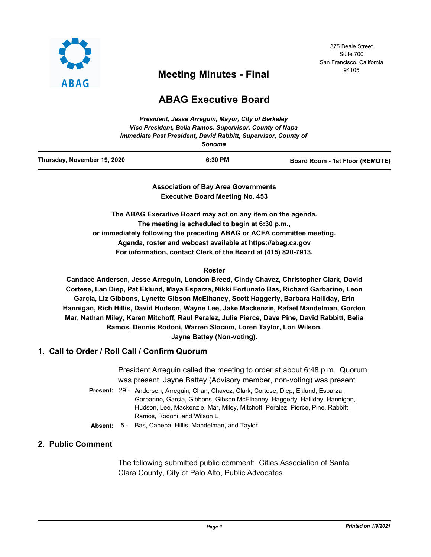

# 375 Beale Street Suite 700 San Francisco, California

# <sup>94105</sup> **Meeting Minutes - Final**

# **ABAG Executive Board**

| Thursday, November 19, 2020 | 6:30 PM | Board Room - 1st Floor (REMOTE) |
|-----------------------------|---------|---------------------------------|

**Association of Bay Area Governments Executive Board Meeting No. 453**

**The ABAG Executive Board may act on any item on the agenda. The meeting is scheduled to begin at 6:30 p.m., or immediately following the preceding ABAG or ACFA committee meeting. Agenda, roster and webcast available at https://abag.ca.gov For information, contact Clerk of the Board at (415) 820-7913.**

## **Roster**

**Candace Andersen, Jesse Arreguin, London Breed, Cindy Chavez, Christopher Clark, David Cortese, Lan Diep, Pat Eklund, Maya Esparza, Nikki Fortunato Bas, Richard Garbarino, Leon Garcia, Liz Gibbons, Lynette Gibson McElhaney, Scott Haggerty, Barbara Halliday, Erin Hannigan, Rich Hillis, David Hudson, Wayne Lee, Jake Mackenzie, Rafael Mandelman, Gordon Mar, Nathan Miley, Karen Mitchoff, Raul Peralez, Julie Pierce, Dave Pine, David Rabbitt, Belia Ramos, Dennis Rodoni, Warren Slocum, Loren Taylor, Lori Wilson. Jayne Battey (Non-voting).**

## **1. Call to Order / Roll Call / Confirm Quorum**

President Arreguin called the meeting to order at about 6:48 p.m. Quorum was present. Jayne Battey (Advisory member, non-voting) was present.

- Present: 29 Andersen, Arreguin, Chan, Chavez, Clark, Cortese, Diep, Eklund, Esparza, Garbarino, Garcia, Gibbons, Gibson McElhaney, Haggerty, Halliday, Hannigan, Hudson, Lee, Mackenzie, Mar, Miley, Mitchoff, Peralez, Pierce, Pine, Rabbitt, Ramos, Rodoni, and Wilson L
- **Absent:** 5 Bas, Canepa, Hillis, Mandelman, and Taylor

## **2. Public Comment**

The following submitted public comment: Cities Association of Santa Clara County, City of Palo Alto, Public Advocates.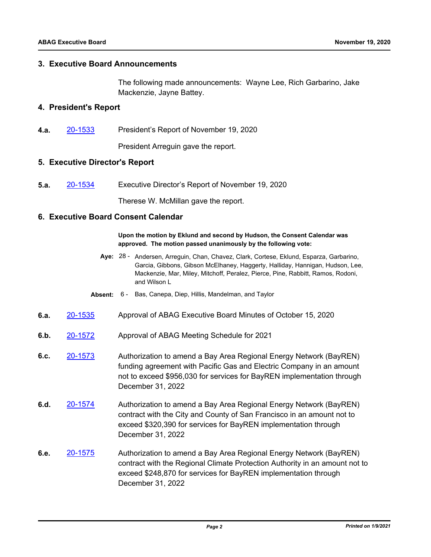## **3. Executive Board Announcements**

The following made announcements: Wayne Lee, Rich Garbarino, Jake Mackenzie, Jayne Battey.

## **4. President's Report**

**4.a.** [20-1533](http://mtc.legistar.com/gateway.aspx?m=l&id=/matter.aspx?key=21398) President's Report of November 19, 2020

President Arreguin gave the report.

## **5. Executive Director's Report**

**5.a.** [20-1534](http://mtc.legistar.com/gateway.aspx?m=l&id=/matter.aspx?key=21399) Executive Director's Report of November 19, 2020

Therese W. McMillan gave the report.

## **6. Executive Board Consent Calendar**

#### **Upon the motion by Eklund and second by Hudson, the Consent Calendar was approved. The motion passed unanimously by the following vote:**

- Aye: 28 Andersen, Arreguin, Chan, Chavez, Clark, Cortese, Eklund, Esparza, Garbarino, Garcia, Gibbons, Gibson McElhaney, Haggerty, Halliday, Hannigan, Hudson, Lee, Mackenzie, Mar, Miley, Mitchoff, Peralez, Pierce, Pine, Rabbitt, Ramos, Rodoni, and Wilson L
- **Absent:** 6 Bas, Canepa, Diep, Hillis, Mandelman, and Taylor
- **6.a.** [20-1535](http://mtc.legistar.com/gateway.aspx?m=l&id=/matter.aspx?key=21400) Approval of ABAG Executive Board Minutes of October 15, 2020
- **6.b.** [20-1572](http://mtc.legistar.com/gateway.aspx?m=l&id=/matter.aspx?key=21437) Approval of ABAG Meeting Schedule for 2021
- **6.c.** [20-1573](http://mtc.legistar.com/gateway.aspx?m=l&id=/matter.aspx?key=21438) Authorization to amend a Bay Area Regional Energy Network (BayREN) funding agreement with Pacific Gas and Electric Company in an amount not to exceed \$956,030 for services for BayREN implementation through December 31, 2022
- **6.d.** [20-1574](http://mtc.legistar.com/gateway.aspx?m=l&id=/matter.aspx?key=21439) Authorization to amend a Bay Area Regional Energy Network (BayREN) contract with the City and County of San Francisco in an amount not to exceed \$320,390 for services for BayREN implementation through December 31, 2022
- **6.e.** [20-1575](http://mtc.legistar.com/gateway.aspx?m=l&id=/matter.aspx?key=21440) Authorization to amend a Bay Area Regional Energy Network (BayREN) contract with the Regional Climate Protection Authority in an amount not to exceed \$248,870 for services for BayREN implementation through December 31, 2022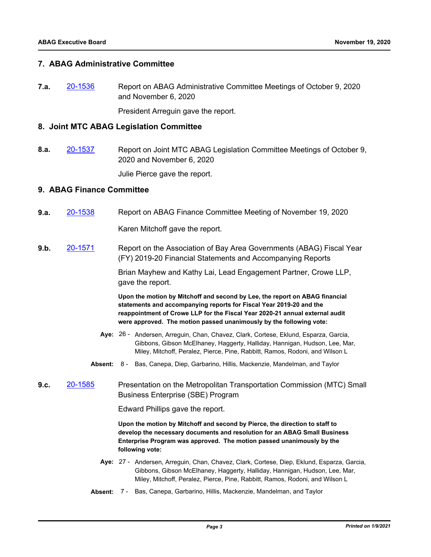## **7. ABAG Administrative Committee**

**7.a.** [20-1536](http://mtc.legistar.com/gateway.aspx?m=l&id=/matter.aspx?key=21401) Report on ABAG Administrative Committee Meetings of October 9, 2020 and November 6, 2020

President Arreguin gave the report.

## **8. Joint MTC ABAG Legislation Committee**

**8.a.** [20-1537](http://mtc.legistar.com/gateway.aspx?m=l&id=/matter.aspx?key=21402) Report on Joint MTC ABAG Legislation Committee Meetings of October 9, 2020 and November 6, 2020

Julie Pierce gave the report.

## **9. ABAG Finance Committee**

**9.a.** [20-1538](http://mtc.legistar.com/gateway.aspx?m=l&id=/matter.aspx?key=21403) Report on ABAG Finance Committee Meeting of November 19, 2020

Karen Mitchoff gave the report.

**9.b.** [20-1571](http://mtc.legistar.com/gateway.aspx?m=l&id=/matter.aspx?key=21436) Report on the Association of Bay Area Governments (ABAG) Fiscal Year (FY) 2019-20 Financial Statements and Accompanying Reports

> Brian Mayhew and Kathy Lai, Lead Engagement Partner, Crowe LLP, gave the report.

**Upon the motion by Mitchoff and second by Lee, the report on ABAG financial statements and accompanying reports for Fiscal Year 2019-20 and the reappointment of Crowe LLP for the Fiscal Year 2020-21 annual external audit were approved. The motion passed unanimously by the following vote:**

- Aye: 26 Andersen, Arreguin, Chan, Chavez, Clark, Cortese, Eklund, Esparza, Garcia, Gibbons, Gibson McElhaney, Haggerty, Halliday, Hannigan, Hudson, Lee, Mar, Miley, Mitchoff, Peralez, Pierce, Pine, Rabbitt, Ramos, Rodoni, and Wilson L
- **Absent:** 8 Bas, Canepa, Diep, Garbarino, Hillis, Mackenzie, Mandelman, and Taylor
- **9.c.** [20-1585](http://mtc.legistar.com/gateway.aspx?m=l&id=/matter.aspx?key=21450) Presentation on the Metropolitan Transportation Commission (MTC) Small Business Enterprise (SBE) Program

Edward Phillips gave the report.

**Upon the motion by Mitchoff and second by Pierce, the direction to staff to develop the necessary documents and resolution for an ABAG Small Business Enterprise Program was approved. The motion passed unanimously by the following vote:**

- Aye: 27 Andersen, Arreguin, Chan, Chavez, Clark, Cortese, Diep, Eklund, Esparza, Garcia, Gibbons, Gibson McElhaney, Haggerty, Halliday, Hannigan, Hudson, Lee, Mar, Miley, Mitchoff, Peralez, Pierce, Pine, Rabbitt, Ramos, Rodoni, and Wilson L
- **Absent:** 7 Bas, Canepa, Garbarino, Hillis, Mackenzie, Mandelman, and Taylor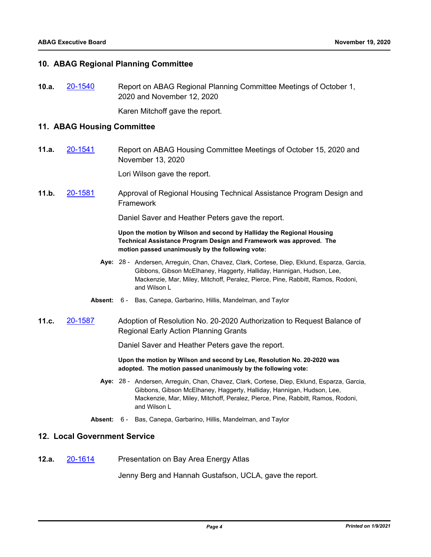## **10. ABAG Regional Planning Committee**

**10.a.** [20-1540](http://mtc.legistar.com/gateway.aspx?m=l&id=/matter.aspx?key=21405) Report on ABAG Regional Planning Committee Meetings of October 1, 2020 and November 12, 2020

Karen Mitchoff gave the report.

## **11. ABAG Housing Committee**

**11.a.** [20-1541](http://mtc.legistar.com/gateway.aspx?m=l&id=/matter.aspx?key=21406) Report on ABAG Housing Committee Meetings of October 15, 2020 and November 13, 2020

Lori Wilson gave the report.

**11.b.** [20-1581](http://mtc.legistar.com/gateway.aspx?m=l&id=/matter.aspx?key=21446) Approval of Regional Housing Technical Assistance Program Design and Framework

Daniel Saver and Heather Peters gave the report.

#### **Upon the motion by Wilson and second by Halliday the Regional Housing Technical Assistance Program Design and Framework was approved. The motion passed unanimously by the following vote:**

- Aye: 28 Andersen, Arreguin, Chan, Chavez, Clark, Cortese, Diep, Eklund, Esparza, Garcia, Gibbons, Gibson McElhaney, Haggerty, Halliday, Hannigan, Hudson, Lee, Mackenzie, Mar, Miley, Mitchoff, Peralez, Pierce, Pine, Rabbitt, Ramos, Rodoni, and Wilson L
- **Absent:** 6 Bas, Canepa, Garbarino, Hillis, Mandelman, and Taylor
- **11.c.** [20-1587](http://mtc.legistar.com/gateway.aspx?m=l&id=/matter.aspx?key=21452) Adoption of Resolution No. 20-2020 Authorization to Request Balance of Regional Early Action Planning Grants

Daniel Saver and Heather Peters gave the report.

**Upon the motion by Wilson and second by Lee, Resolution No. 20-2020 was adopted. The motion passed unanimously by the following vote:**

- Aye: 28 Andersen, Arreguin, Chan, Chavez, Clark, Cortese, Diep, Eklund, Esparza, Garcia, Gibbons, Gibson McElhaney, Haggerty, Halliday, Hannigan, Hudson, Lee, Mackenzie, Mar, Miley, Mitchoff, Peralez, Pierce, Pine, Rabbitt, Ramos, Rodoni, and Wilson L
- **Absent:** 6 Bas, Canepa, Garbarino, Hillis, Mandelman, and Taylor

## **12. Local Government Service**

**12.a.** [20-1614](http://mtc.legistar.com/gateway.aspx?m=l&id=/matter.aspx?key=21479) Presentation on Bay Area Energy Atlas

Jenny Berg and Hannah Gustafson, UCLA, gave the report.